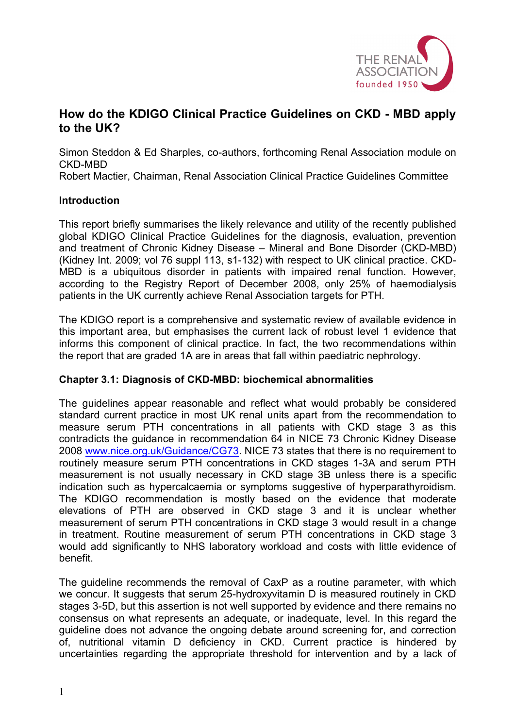

# **How do the KDIGO Clinical Practice Guidelines on CKD - MBD apply to the UK?**

Simon Steddon & Ed Sharples, co-authors, forthcoming Renal Association module on CKD-MBD

Robert Mactier, Chairman, Renal Association Clinical Practice Guidelines Committee

#### **Introduction**

This report briefly summarises the likely relevance and utility of the recently published global KDIGO Clinical Practice Guidelines for the diagnosis, evaluation, prevention and treatment of Chronic Kidney Disease – Mineral and Bone Disorder (CKD-MBD) (Kidney Int. 2009; vol 76 suppl 113, s1-132) with respect to UK clinical practice. CKD-MBD is a ubiquitous disorder in patients with impaired renal function. However, according to the Registry Report of December 2008, only 25% of haemodialysis patients in the UK currently achieve Renal Association targets for PTH.

The KDIGO report is a comprehensive and systematic review of available evidence in this important area, but emphasises the current lack of robust level 1 evidence that informs this component of clinical practice. In fact, the two recommendations within the report that are graded 1A are in areas that fall within paediatric nephrology.

## **Chapter 3.1: Diagnosis of CKD-MBD: biochemical abnormalities**

The guidelines appear reasonable and reflect what would probably be considered standard current practice in most UK renal units apart from the recommendation to measure serum PTH concentrations in all patients with CKD stage 3 as this contradicts the guidance in recommendation 64 in NICE 73 Chronic Kidney Disease 2008 www.nice.org.uk/Guidance/CG73. NICE 73 states that there is no requirement to routinely measure serum PTH concentrations in CKD stages 1-3A and serum PTH measurement is not usually necessary in CKD stage 3B unless there is a specific indication such as hypercalcaemia or symptoms suggestive of hyperparathyroidism. The KDIGO recommendation is mostly based on the evidence that moderate elevations of PTH are observed in CKD stage 3 and it is unclear whether measurement of serum PTH concentrations in CKD stage 3 would result in a change in treatment. Routine measurement of serum PTH concentrations in CKD stage 3 would add significantly to NHS laboratory workload and costs with little evidence of benefit.

The guideline recommends the removal of CaxP as a routine parameter, with which we concur. It suggests that serum 25-hydroxyvitamin D is measured routinely in CKD stages 3-5D, but this assertion is not well supported by evidence and there remains no consensus on what represents an adequate, or inadequate, level. In this regard the guideline does not advance the ongoing debate around screening for, and correction of, nutritional vitamin D deficiency in CKD. Current practice is hindered by uncertainties regarding the appropriate threshold for intervention and by a lack of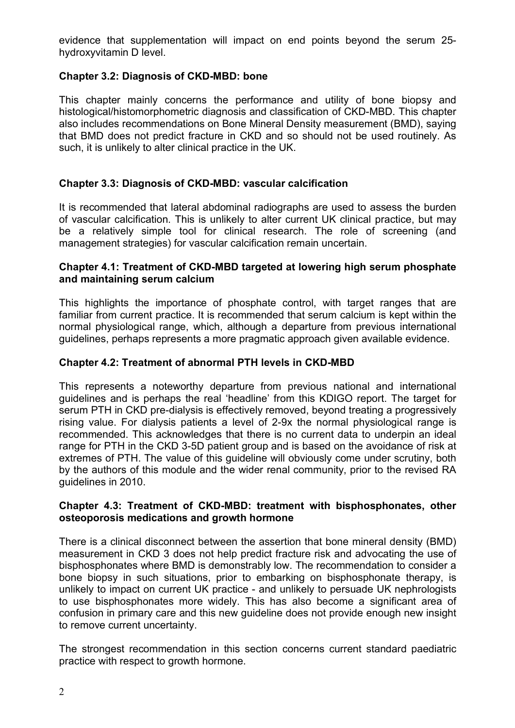evidence that supplementation will impact on end points beyond the serum 25 hydroxyvitamin D level.

# **Chapter 3.2: Diagnosis of CKD-MBD: bone**

This chapter mainly concerns the performance and utility of bone biopsy and histological/histomorphometric diagnosis and classification of CKD-MBD. This chapter also includes recommendations on Bone Mineral Density measurement (BMD), saying that BMD does not predict fracture in CKD and so should not be used routinely. As such, it is unlikely to alter clinical practice in the UK.

# **Chapter 3.3: Diagnosis of CKD-MBD: vascular calcification**

It is recommended that lateral abdominal radiographs are used to assess the burden of vascular calcification. This is unlikely to alter current UK clinical practice, but may be a relatively simple tool for clinical research. The role of screening (and management strategies) for vascular calcification remain uncertain.

# **Chapter 4.1: Treatment of CKD-MBD targeted at lowering high serum phosphate and maintaining serum calcium**

This highlights the importance of phosphate control, with target ranges that are familiar from current practice. It is recommended that serum calcium is kept within the normal physiological range, which, although a departure from previous international guidelines, perhaps represents a more pragmatic approach given available evidence.

# **Chapter 4.2: Treatment of abnormal PTH levels in CKD-MBD**

This represents a noteworthy departure from previous national and international guidelines and is perhaps the real 'headline' from this KDIGO report. The target for serum PTH in CKD pre-dialysis is effectively removed, beyond treating a progressively rising value. For dialysis patients a level of 2-9x the normal physiological range is recommended. This acknowledges that there is no current data to underpin an ideal range for PTH in the CKD 3-5D patient group and is based on the avoidance of risk at extremes of PTH. The value of this guideline will obviously come under scrutiny, both by the authors of this module and the wider renal community, prior to the revised RA guidelines in 2010.

#### **Chapter 4.3: Treatment of CKD-MBD: treatment with bisphosphonates, other osteoporosis medications and growth hormone**

There is a clinical disconnect between the assertion that bone mineral density (BMD) measurement in CKD 3 does not help predict fracture risk and advocating the use of bisphosphonates where BMD is demonstrably low. The recommendation to consider a bone biopsy in such situations, prior to embarking on bisphosphonate therapy, is unlikely to impact on current UK practice - and unlikely to persuade UK nephrologists to use bisphosphonates more widely. This has also become a significant area of confusion in primary care and this new guideline does not provide enough new insight to remove current uncertainty.

The strongest recommendation in this section concerns current standard paediatric practice with respect to growth hormone.